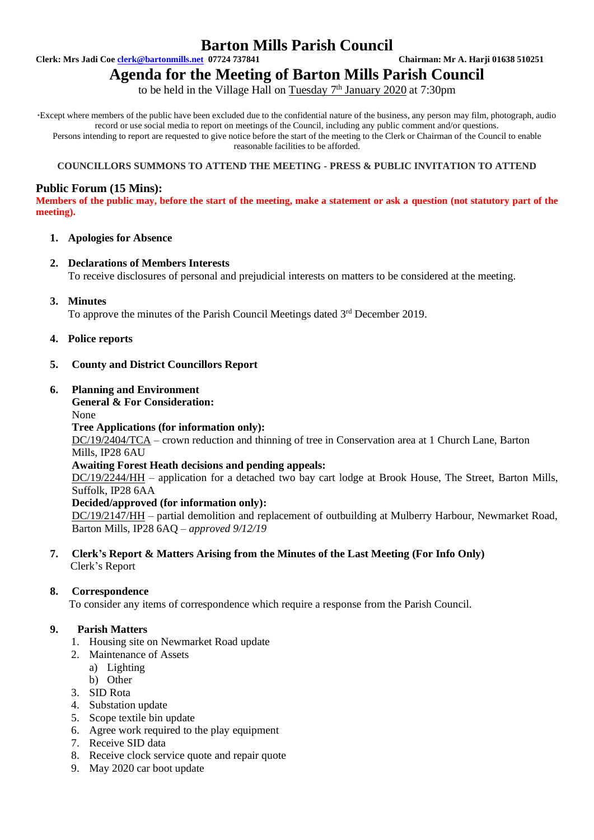# **Barton Mills Parish Council**

**Clerk: Mrs Jadi Coe [clerk@bartonmills.net](mailto:clerk@bartonmills.net) 07724 737841 Chairman: Mr A. Harji 01638 510251**

# **Agenda for the Meeting of Barton Mills Parish Council**

to be held in the Village Hall on Tuesday 7<sup>th</sup> January 2020 at 7:30pm

\*Except where members of the public have been excluded due to the confidential nature of the business, any person may film, photograph, audio record or use social media to report on meetings of the Council, including any public comment and/or questions. Persons intending to report are requested to give notice before the start of the meeting to the Clerk or Chairman of the Council to enable reasonable facilities to be afforded.

#### **COUNCILLORS SUMMONS TO ATTEND THE MEETING - PRESS & PUBLIC INVITATION TO ATTEND**

# **Public Forum (15 Mins):**

**Members of the public may, before the start of the meeting, make a statement or ask a question (not statutory part of the meeting).**

# **1. Apologies for Absence**

#### **2. Declarations of Members Interests**

To receive disclosures of personal and prejudicial interests on matters to be considered at the meeting.

**3. Minutes**

To approve the minutes of the Parish Council Meetings dated 3<sup>rd</sup> December 2019.

**4. Police reports**

# **5. County and District Councillors Report**

#### **6. Planning and Environment**

# **General & For Consideration:**

#### None

#### **Tree Applications (for information only):**

DC/19/2404/TCA – crown reduction and thinning of tree in Conservation area at 1 Church Lane, Barton Mills, IP28 6AU

#### **Awaiting Forest Heath decisions and pending appeals:**

DC/19/2244/HH – application for a detached two bay cart lodge at Brook House, The Street, Barton Mills, Suffolk, IP28 6AA

#### **Decided/approved (for information only):**

DC/19/2147/HH – partial demolition and replacement of outbuilding at Mulberry Harbour, Newmarket Road, Barton Mills, IP28 6AQ – *approved 9/12/19*

# **7. Clerk's Report & Matters Arising from the Minutes of the Last Meeting (For Info Only)** Clerk's Report

#### **8. Correspondence**

To consider any items of correspondence which require a response from the Parish Council.

# **9. Parish Matters**

- 1. Housing site on Newmarket Road update
- 2. Maintenance of Assets
	- a) Lighting
- b) Other
- 3. SID Rota
- 4. Substation update
- 5. Scope textile bin update
- 6. Agree work required to the play equipment
- 7. Receive SID data
- 8. Receive clock service quote and repair quote
- 9. May 2020 car boot update